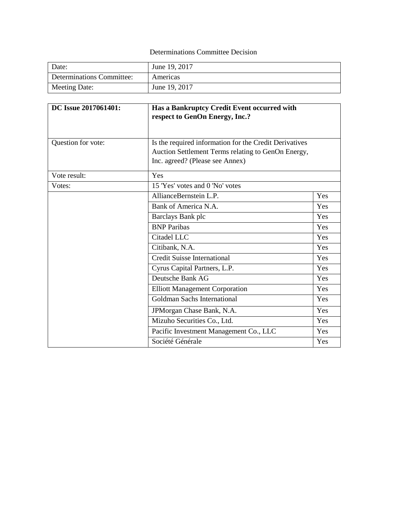## Determinations Committee Decision

| Date:                     | June 19, 2017 |
|---------------------------|---------------|
| Determinations Committee: | Americas      |
| Meeting Date:             | June 19, 2017 |

| DC Issue 2017061401: | Has a Bankruptcy Credit Event occurred with<br>respect to GenOn Energy, Inc.?                                                                   |     |
|----------------------|-------------------------------------------------------------------------------------------------------------------------------------------------|-----|
| Question for vote:   | Is the required information for the Credit Derivatives<br>Auction Settlement Terms relating to GenOn Energy,<br>Inc. agreed? (Please see Annex) |     |
| Vote result:         | Yes                                                                                                                                             |     |
| Votes:               | 15 'Yes' votes and 0 'No' votes                                                                                                                 |     |
|                      | AllianceBernstein L.P.                                                                                                                          | Yes |
|                      | Bank of America N.A.                                                                                                                            | Yes |
|                      | Barclays Bank plc                                                                                                                               | Yes |
|                      | <b>BNP</b> Paribas                                                                                                                              | Yes |
|                      | Citadel LLC                                                                                                                                     | Yes |
|                      | Citibank, N.A.                                                                                                                                  | Yes |
|                      | <b>Credit Suisse International</b>                                                                                                              | Yes |
|                      | Cyrus Capital Partners, L.P.                                                                                                                    | Yes |
|                      | Deutsche Bank AG                                                                                                                                | Yes |
|                      | <b>Elliott Management Corporation</b>                                                                                                           | Yes |
|                      | <b>Goldman Sachs International</b>                                                                                                              | Yes |
|                      | JPMorgan Chase Bank, N.A.                                                                                                                       | Yes |
|                      | Mizuho Securities Co., Ltd.                                                                                                                     | Yes |
|                      | Pacific Investment Management Co., LLC                                                                                                          | Yes |
|                      | Société Générale                                                                                                                                | Yes |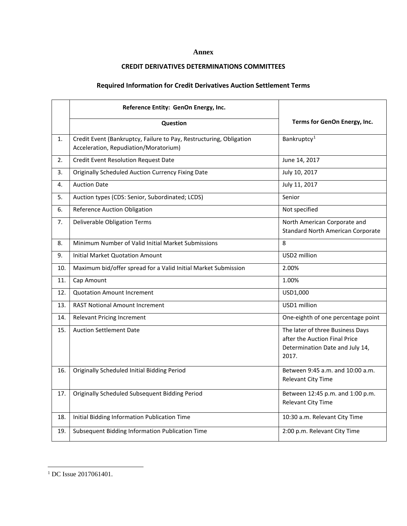## **Annex**

## **CREDIT DERIVATIVES DETERMINATIONS COMMITTEES**

## **Required Information for Credit Derivatives Auction Settlement Terms**

|     | Reference Entity: GenOn Energy, Inc.                                                                         |                                                                                                               |  |
|-----|--------------------------------------------------------------------------------------------------------------|---------------------------------------------------------------------------------------------------------------|--|
|     | Question                                                                                                     | Terms for GenOn Energy, Inc.                                                                                  |  |
| 1.  | Credit Event (Bankruptcy, Failure to Pay, Restructuring, Obligation<br>Acceleration, Repudiation/Moratorium) | Bankruptcy <sup>1</sup>                                                                                       |  |
| 2.  | <b>Credit Event Resolution Request Date</b>                                                                  | June 14, 2017                                                                                                 |  |
| 3.  | <b>Originally Scheduled Auction Currency Fixing Date</b>                                                     | July 10, 2017                                                                                                 |  |
| 4.  | <b>Auction Date</b>                                                                                          | July 11, 2017                                                                                                 |  |
| 5.  | Auction types (CDS: Senior, Subordinated; LCDS)                                                              | Senior                                                                                                        |  |
| 6.  | <b>Reference Auction Obligation</b>                                                                          | Not specified                                                                                                 |  |
| 7.  | <b>Deliverable Obligation Terms</b>                                                                          | North American Corporate and<br><b>Standard North American Corporate</b>                                      |  |
| 8.  | Minimum Number of Valid Initial Market Submissions                                                           | 8                                                                                                             |  |
| 9.  | <b>Initial Market Quotation Amount</b>                                                                       | USD2 million                                                                                                  |  |
| 10. | Maximum bid/offer spread for a Valid Initial Market Submission                                               | 2.00%                                                                                                         |  |
| 11. | Cap Amount                                                                                                   | 1.00%                                                                                                         |  |
| 12. | <b>Quotation Amount Increment</b>                                                                            | USD1,000                                                                                                      |  |
| 13. | <b>RAST Notional Amount Increment</b>                                                                        | USD1 million                                                                                                  |  |
| 14. | <b>Relevant Pricing Increment</b>                                                                            | One-eighth of one percentage point                                                                            |  |
| 15. | <b>Auction Settlement Date</b>                                                                               | The later of three Business Days<br>after the Auction Final Price<br>Determination Date and July 14,<br>2017. |  |
| 16. | Originally Scheduled Initial Bidding Period                                                                  | Between 9:45 a.m. and 10:00 a.m.<br>Relevant City Time                                                        |  |
| 17. | Originally Scheduled Subsequent Bidding Period                                                               | Between 12:45 p.m. and 1:00 p.m.<br><b>Relevant City Time</b>                                                 |  |
| 18. | Initial Bidding Information Publication Time                                                                 | 10:30 a.m. Relevant City Time                                                                                 |  |
| 19. | Subsequent Bidding Information Publication Time                                                              | 2:00 p.m. Relevant City Time                                                                                  |  |

l

<span id="page-1-0"></span><sup>&</sup>lt;sup>1</sup> DC Issue 2017061401.